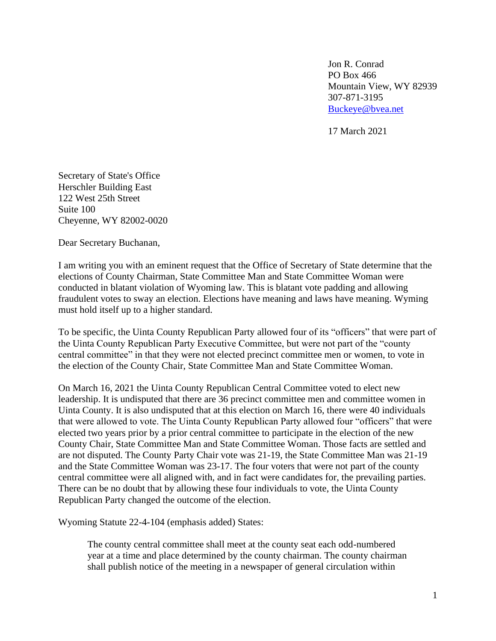Jon R. Conrad PO Box 466 Mountain View, WY 82939 307-871-3195 [Buckeye@bvea.net](mailto:Buckeye@bvea.net)

17 March 2021

Secretary of State's Office Herschler Building East 122 West 25th Street Suite 100 Cheyenne, WY 82002-0020

Dear Secretary Buchanan,

I am writing you with an eminent request that the Office of Secretary of State determine that the elections of County Chairman, State Committee Man and State Committee Woman were conducted in blatant violation of Wyoming law. This is blatant vote padding and allowing fraudulent votes to sway an election. Elections have meaning and laws have meaning. Wyming must hold itself up to a higher standard.

To be specific, the Uinta County Republican Party allowed four of its "officers" that were part of the Uinta County Republican Party Executive Committee, but were not part of the "county central committee" in that they were not elected precinct committee men or women, to vote in the election of the County Chair, State Committee Man and State Committee Woman.

On March 16, 2021 the Uinta County Republican Central Committee voted to elect new leadership. It is undisputed that there are 36 precinct committee men and committee women in Uinta County. It is also undisputed that at this election on March 16, there were 40 individuals that were allowed to vote. The Uinta County Republican Party allowed four "officers" that were elected two years prior by a prior central committee to participate in the election of the new County Chair, State Committee Man and State Committee Woman. Those facts are settled and are not disputed. The County Party Chair vote was 21-19, the State Committee Man was 21-19 and the State Committee Woman was 23-17. The four voters that were not part of the county central committee were all aligned with, and in fact were candidates for, the prevailing parties. There can be no doubt that by allowing these four individuals to vote, the Uinta County Republican Party changed the outcome of the election.

Wyoming Statute 22-4-104 (emphasis added) States:

The county central committee shall meet at the county seat each odd-numbered year at a time and place determined by the county chairman. The county chairman shall publish notice of the meeting in a newspaper of general circulation within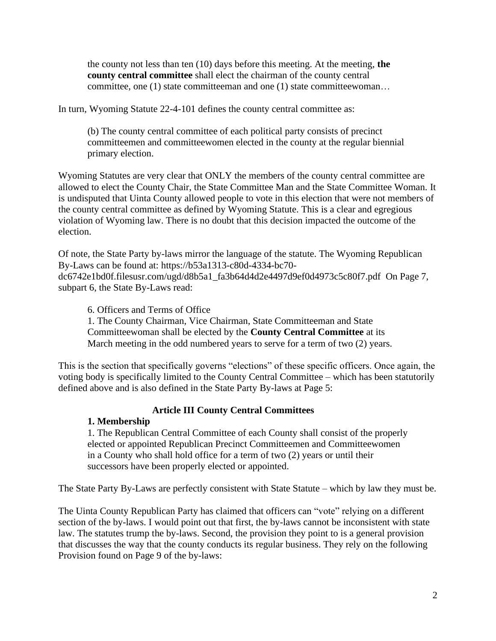the county not less than ten (10) days before this meeting. At the meeting, **the county central committee** shall elect the chairman of the county central committee, one (1) state committeeman and one (1) state committeewoman…

In turn, Wyoming Statute 22-4-101 defines the county central committee as:

(b) The county central committee of each political party consists of precinct committeemen and committeewomen elected in the county at the regular biennial primary election.

Wyoming Statutes are very clear that ONLY the members of the county central committee are allowed to elect the County Chair, the State Committee Man and the State Committee Woman. It is undisputed that Uinta County allowed people to vote in this election that were not members of the county central committee as defined by Wyoming Statute. This is a clear and egregious violation of Wyoming law. There is no doubt that this decision impacted the outcome of the election.

Of note, the State Party by-laws mirror the language of the statute. The Wyoming Republican By-Laws can be found at: https://b53a1313-c80d-4334-bc70 dc6742e1bd0f.filesusr.com/ugd/d8b5a1\_fa3b64d4d2e4497d9ef0d4973c5c80f7.pdf On Page 7, subpart 6, the State By-Laws read:

6. Officers and Terms of Office

1. The County Chairman, Vice Chairman, State Committeeman and State Committeewoman shall be elected by the **County Central Committee** at its

March meeting in the odd numbered years to serve for a term of two (2) years.

This is the section that specifically governs "elections" of these specific officers. Once again, the voting body is specifically limited to the County Central Committee – which has been statutorily defined above and is also defined in the State Party By-laws at Page 5:

## **Article III County Central Committees**

## **1. Membership**

1. The Republican Central Committee of each County shall consist of the properly elected or appointed Republican Precinct Committeemen and Committeewomen in a County who shall hold office for a term of two (2) years or until their successors have been properly elected or appointed.

The State Party By-Laws are perfectly consistent with State Statute – which by law they must be.

The Uinta County Republican Party has claimed that officers can "vote" relying on a different section of the by-laws. I would point out that first, the by-laws cannot be inconsistent with state law. The statutes trump the by-laws. Second, the provision they point to is a general provision that discusses the way that the county conducts its regular business. They rely on the following Provision found on Page 9 of the by-laws: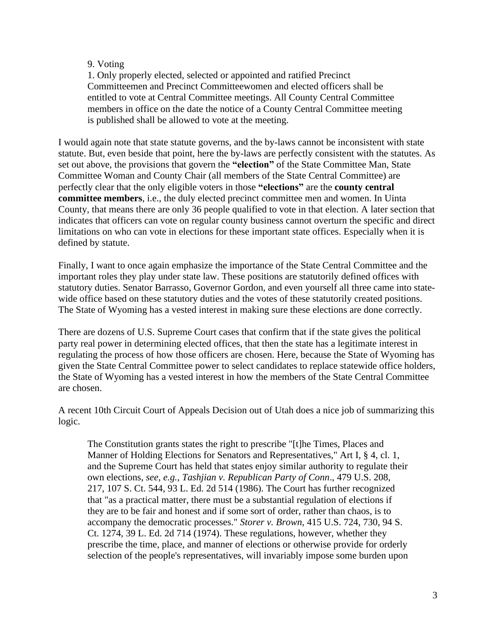## 9. Voting

1. Only properly elected, selected or appointed and ratified Precinct Committeemen and Precinct Committeewomen and elected officers shall be entitled to vote at Central Committee meetings. All County Central Committee members in office on the date the notice of a County Central Committee meeting is published shall be allowed to vote at the meeting.

I would again note that state statute governs, and the by-laws cannot be inconsistent with state statute. But, even beside that point, here the by-laws are perfectly consistent with the statutes. As set out above, the provisions that govern the **"election"** of the State Committee Man, State Committee Woman and County Chair (all members of the State Central Committee) are perfectly clear that the only eligible voters in those **"elections"** are the **county central committee members**, i.e., the duly elected precinct committee men and women. In Uinta County, that means there are only 36 people qualified to vote in that election. A later section that indicates that officers can vote on regular county business cannot overturn the specific and direct limitations on who can vote in elections for these important state offices. Especially when it is defined by statute.

Finally, I want to once again emphasize the importance of the State Central Committee and the important roles they play under state law. These positions are statutorily defined offices with statutory duties. Senator Barrasso, Governor Gordon, and even yourself all three came into statewide office based on these statutory duties and the votes of these statutorily created positions. The State of Wyoming has a vested interest in making sure these elections are done correctly.

There are dozens of U.S. Supreme Court cases that confirm that if the state gives the political party real power in determining elected offices, that then the state has a legitimate interest in regulating the process of how those officers are chosen. Here, because the State of Wyoming has given the State Central Committee power to select candidates to replace statewide office holders, the State of Wyoming has a vested interest in how the members of the State Central Committee are chosen.

A recent 10th Circuit Court of Appeals Decision out of Utah does a nice job of summarizing this logic.

The Constitution grants states the right to prescribe "[t]he Times, Places and Manner of Holding Elections for Senators and Representatives," Art I, § 4, cl. 1, and the Supreme Court has held that states enjoy similar authority to regulate their own elections, *see, e.g., Tashjian v. Republican Party of Conn*., 479 U.S. 208, 217, 107 S. Ct. 544, 93 L. Ed. 2d 514 (1986). The Court has further recognized that "as a practical matter, there must be a substantial regulation of elections if they are to be fair and honest and if some sort of order, rather than chaos, is to accompany the democratic processes." *Storer v. Brown*, 415 U.S. 724, 730, 94 S. Ct. 1274, 39 L. Ed. 2d 714 (1974). These regulations, however, whether they prescribe the time, place, and manner of elections or otherwise provide for orderly selection of the people's representatives, will invariably impose some burden upon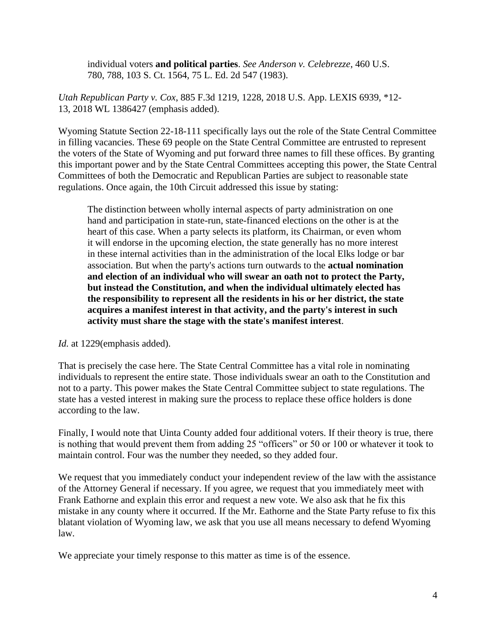individual voters **and political parties**. *See Anderson v. Celebrezze*, 460 U.S. 780, 788, 103 S. Ct. 1564, 75 L. Ed. 2d 547 (1983).

*Utah Republican Party v. Cox*, 885 F.3d 1219, 1228, 2018 U.S. App. LEXIS 6939, \*12- 13, 2018 WL 1386427 (emphasis added).

Wyoming Statute Section 22-18-111 specifically lays out the role of the State Central Committee in filling vacancies. These 69 people on the State Central Committee are entrusted to represent the voters of the State of Wyoming and put forward three names to fill these offices. By granting this important power and by the State Central Committees accepting this power, the State Central Committees of both the Democratic and Republican Parties are subject to reasonable state regulations. Once again, the 10th Circuit addressed this issue by stating:

The distinction between wholly internal aspects of party administration on one hand and participation in state-run, state-financed elections on the other is at the heart of this case. When a party selects its platform, its Chairman, or even whom it will endorse in the upcoming election, the state generally has no more interest in these internal activities than in the administration of the local Elks lodge or bar association. But when the party's actions turn outwards to the **actual nomination and election of an individual who will swear an oath not to protect the Party, but instead the Constitution, and when the individual ultimately elected has the responsibility to represent all the residents in his or her district, the state acquires a manifest interest in that activity, and the party's interest in such activity must share the stage with the state's manifest interest**.

*Id.* at 1229(emphasis added).

That is precisely the case here. The State Central Committee has a vital role in nominating individuals to represent the entire state. Those individuals swear an oath to the Constitution and not to a party. This power makes the State Central Committee subject to state regulations. The state has a vested interest in making sure the process to replace these office holders is done according to the law.

Finally, I would note that Uinta County added four additional voters. If their theory is true, there is nothing that would prevent them from adding 25 "officers" or 50 or 100 or whatever it took to maintain control. Four was the number they needed, so they added four.

We request that you immediately conduct your independent review of the law with the assistance of the Attorney General if necessary. If you agree, we request that you immediately meet with Frank Eathorne and explain this error and request a new vote. We also ask that he fix this mistake in any county where it occurred. If the Mr. Eathorne and the State Party refuse to fix this blatant violation of Wyoming law, we ask that you use all means necessary to defend Wyoming law.

We appreciate your timely response to this matter as time is of the essence.